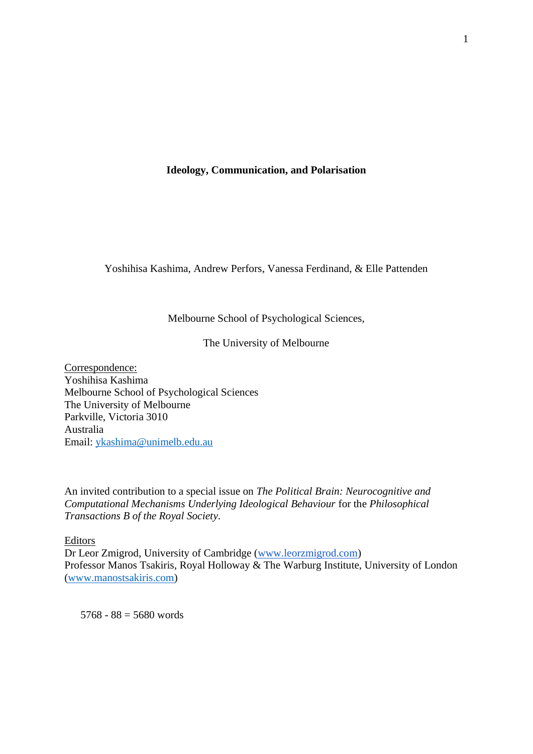# **Ideology, Communication, and Polarisation**

Yoshihisa Kashima, Andrew Perfors, Vanessa Ferdinand, & Elle Pattenden

# Melbourne School of Psychological Sciences,

## The University of Melbourne

Correspondence: Yoshihisa Kashima Melbourne School of Psychological Sciences The University of Melbourne Parkville, Victoria 3010 Australia Email: [ykashima@unimelb.edu.au](mailto:ykashima@unimelb.edu.au)

An invited contribution to a special issue on *The Political Brain: Neurocognitive and Computational Mechanisms Underlying Ideological Behaviour* for the *Philosophical Transactions B of the Royal Society*.

## **Editors**

Dr Leor Zmigrod, University of Cambridge [\(www.leorzmigrod.com\)](https://protect-au.mimecast.com/s/jRxZCL7rxDsG0J96HqSRIs?domain=leorzmigrod.com) Professor Manos Tsakiris, Royal Holloway & The Warburg Institute, University of London [\(www.manostsakiris.com\)](https://protect-au.mimecast.com/s/s1euCMwvygswpQ3NCJ6NAi?domain=manostsakiris.com)

 $5768 - 88 = 5680$  words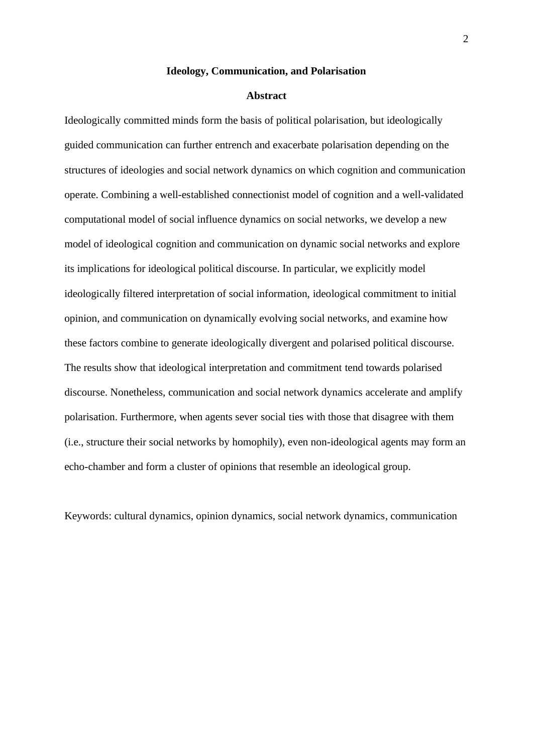#### **Ideology, Communication, and Polarisation**

## **Abstract**

Ideologically committed minds form the basis of political polarisation, but ideologically guided communication can further entrench and exacerbate polarisation depending on the structures of ideologies and social network dynamics on which cognition and communication operate. Combining a well-established connectionist model of cognition and a well-validated computational model of social influence dynamics on social networks, we develop a new model of ideological cognition and communication on dynamic social networks and explore its implications for ideological political discourse. In particular, we explicitly model ideologically filtered interpretation of social information, ideological commitment to initial opinion, and communication on dynamically evolving social networks, and examine how these factors combine to generate ideologically divergent and polarised political discourse. The results show that ideological interpretation and commitment tend towards polarised discourse. Nonetheless, communication and social network dynamics accelerate and amplify polarisation. Furthermore, when agents sever social ties with those that disagree with them (i.e., structure their social networks by homophily), even non-ideological agents may form an echo-chamber and form a cluster of opinions that resemble an ideological group.

Keywords: cultural dynamics, opinion dynamics, social network dynamics, communication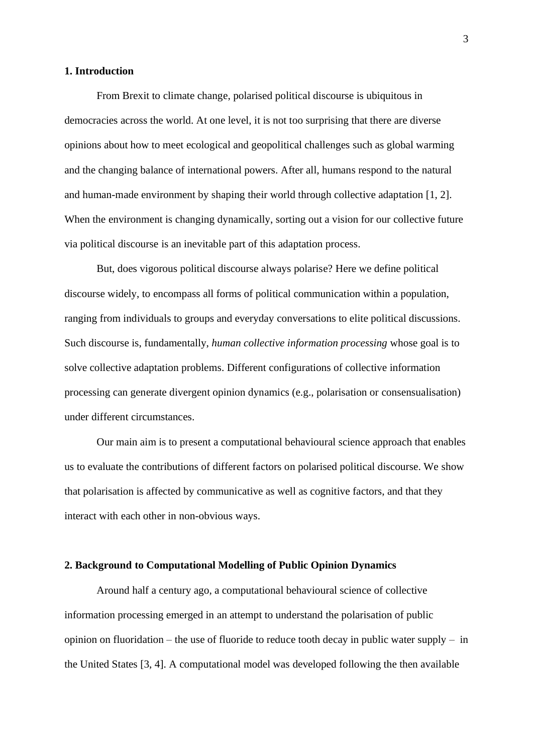## **1. Introduction**

From Brexit to climate change, polarised political discourse is ubiquitous in democracies across the world. At one level, it is not too surprising that there are diverse opinions about how to meet ecological and geopolitical challenges such as global warming and the changing balance of international powers. After all, humans respond to the natural and human-made environment by shaping their world through collective adaptation [1, 2]. When the environment is changing dynamically, sorting out a vision for our collective future via political discourse is an inevitable part of this adaptation process.

But, does vigorous political discourse always polarise? Here we define political discourse widely, to encompass all forms of political communication within a population, ranging from individuals to groups and everyday conversations to elite political discussions. Such discourse is, fundamentally, *human collective information processing* whose goal is to solve collective adaptation problems. Different configurations of collective information processing can generate divergent opinion dynamics (e.g., polarisation or consensualisation) under different circumstances.

Our main aim is to present a computational behavioural science approach that enables us to evaluate the contributions of different factors on polarised political discourse. We show that polarisation is affected by communicative as well as cognitive factors, and that they interact with each other in non-obvious ways.

#### **2. Background to Computational Modelling of Public Opinion Dynamics**

Around half a century ago, a computational behavioural science of collective information processing emerged in an attempt to understand the polarisation of public opinion on fluoridation – the use of fluoride to reduce tooth decay in public water supply – in the United States [3, 4]. A computational model was developed following the then available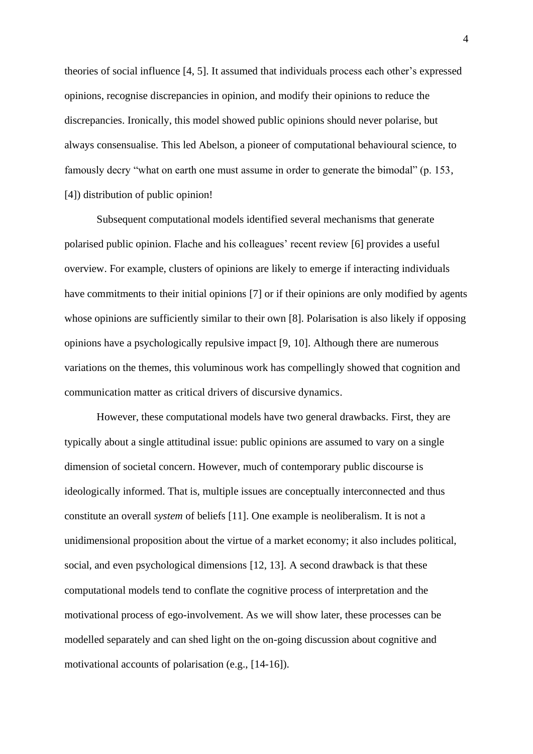theories of social influence [4, 5]. It assumed that individuals process each other's expressed opinions, recognise discrepancies in opinion, and modify their opinions to reduce the discrepancies. Ironically, this model showed public opinions should never polarise, but always consensualise. This led Abelson, a pioneer of computational behavioural science, to famously decry "what on earth one must assume in order to generate the bimodal" (p. 153, [4]) distribution of public opinion!

Subsequent computational models identified several mechanisms that generate polarised public opinion. Flache and his colleagues' recent review [6] provides a useful overview. For example, clusters of opinions are likely to emerge if interacting individuals have commitments to their initial opinions [7] or if their opinions are only modified by agents whose opinions are sufficiently similar to their own [8]. Polarisation is also likely if opposing opinions have a psychologically repulsive impact [9, 10]. Although there are numerous variations on the themes, this voluminous work has compellingly showed that cognition and communication matter as critical drivers of discursive dynamics.

However, these computational models have two general drawbacks. First, they are typically about a single attitudinal issue: public opinions are assumed to vary on a single dimension of societal concern. However, much of contemporary public discourse is ideologically informed. That is, multiple issues are conceptually interconnected and thus constitute an overall *system* of beliefs [11]. One example is neoliberalism. It is not a unidimensional proposition about the virtue of a market economy; it also includes political, social, and even psychological dimensions [12, 13]. A second drawback is that these computational models tend to conflate the cognitive process of interpretation and the motivational process of ego-involvement. As we will show later, these processes can be modelled separately and can shed light on the on-going discussion about cognitive and motivational accounts of polarisation (e.g., [14-16]).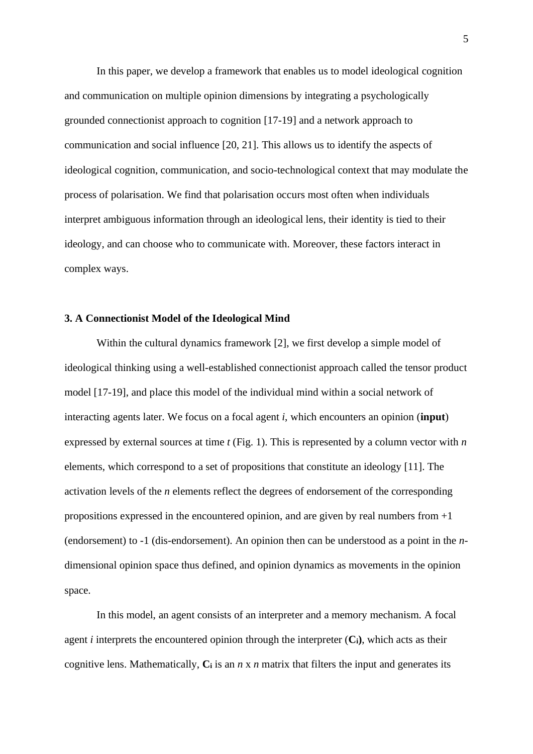In this paper, we develop a framework that enables us to model ideological cognition and communication on multiple opinion dimensions by integrating a psychologically grounded connectionist approach to cognition [17-19] and a network approach to communication and social influence [20, 21]. This allows us to identify the aspects of ideological cognition, communication, and socio-technological context that may modulate the process of polarisation. We find that polarisation occurs most often when individuals interpret ambiguous information through an ideological lens, their identity is tied to their ideology, and can choose who to communicate with. Moreover, these factors interact in complex ways.

#### **3. A Connectionist Model of the Ideological Mind**

Within the cultural dynamics framework [2], we first develop a simple model of ideological thinking using a well-established connectionist approach called the tensor product model [17-19], and place this model of the individual mind within a social network of interacting agents later. We focus on a focal agent *i*, which encounters an opinion (**input**) expressed by external sources at time *t* (Fig. 1). This is represented by a column vector with *n* elements, which correspond to a set of propositions that constitute an ideology [11]. The activation levels of the *n* elements reflect the degrees of endorsement of the corresponding propositions expressed in the encountered opinion, and are given by real numbers from  $+1$ (endorsement) to -1 (dis-endorsement). An opinion then can be understood as a point in the *n*dimensional opinion space thus defined, and opinion dynamics as movements in the opinion space.

In this model, an agent consists of an interpreter and a memory mechanism. A focal agent *i* interprets the encountered opinion through the interpreter  $(C_i)$ , which acts as their cognitive lens. Mathematically,  $C_i$  is an  $n \times n$  matrix that filters the input and generates its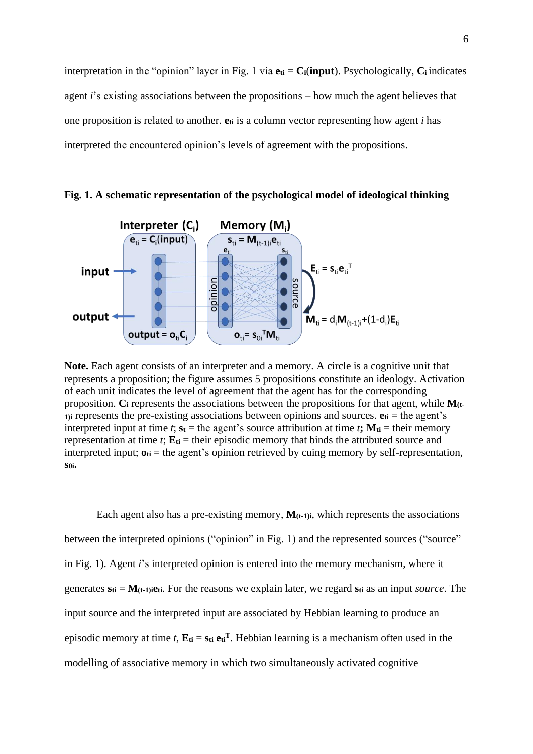interpretation in the "opinion" layer in Fig. 1 via  $e_{ti} = C_i$ (**input**). Psychologically,  $C_i$  indicates agent *i*'s existing associations between the propositions – how much the agent believes that one proposition is related to another. **eti** is a column vector representing how agent *i* has interpreted the encountered opinion's levels of agreement with the propositions.



**Fig. 1. A schematic representation of the psychological model of ideological thinking**

**Note.** Each agent consists of an interpreter and a memory. A circle is a cognitive unit that represents a proposition; the figure assumes 5 propositions constitute an ideology. Activation of each unit indicates the level of agreement that the agent has for the corresponding proposition. **C<sup>i</sup>** represents the associations between the propositions for that agent, while **M(t-1)i** represents the pre-existing associations between opinions and sources. **eti** = the agent's interpreted input at time *t*;  $s_t$  = the agent's source attribution at time *t***;**  $M_{ti}$  = their memory representation at time  $t$ ;  $\mathbf{E}_{ti}$  = their episodic memory that binds the attributed source and interpreted input;  $\mathbf{o}_{ti}$  = the agent's opinion retrieved by cuing memory by self-representation, **s0i.**

Each agent also has a pre-existing memory,  $M_{(t-1)i}$ , which represents the associations between the interpreted opinions ("opinion" in Fig. 1) and the represented sources ("source" in Fig. 1). Agent *i*'s interpreted opinion is entered into the memory mechanism, where it generates **sti** = **M(t-1)ieti**. For the reasons we explain later, we regard **sti** as an input *source*. The input source and the interpreted input are associated by Hebbian learning to produce an episodic memory at time *t*,  $\mathbf{E}_{ti} = \mathbf{s}_{ti} \mathbf{e}_{ti}^T$ . Hebbian learning is a mechanism often used in the modelling of associative memory in which two simultaneously activated cognitive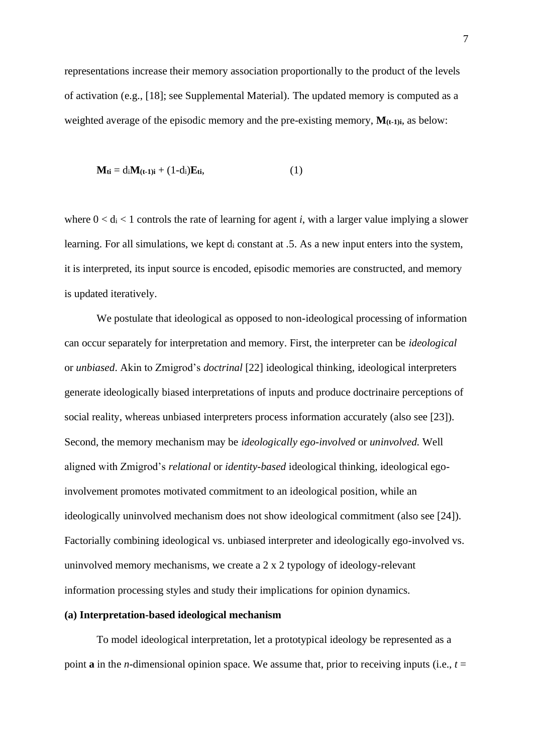representations increase their memory association proportionally to the product of the levels of activation (e.g., [18]; see Supplemental Material). The updated memory is computed as a weighted average of the episodic memory and the pre-existing memory, **M(t-1)i**, as below:

$$
\mathbf{M}_{\mathbf{ti}} = d_i \mathbf{M}_{(\mathbf{t-1})\mathbf{i}} + (1-d_i)\mathbf{E}_{\mathbf{ti}},\tag{1}
$$

where  $0 < d_i < 1$  controls the rate of learning for agent *i*, with a larger value implying a slower learning. For all simulations, we kept d<sup>i</sup> constant at .5. As a new input enters into the system, it is interpreted, its input source is encoded, episodic memories are constructed, and memory is updated iteratively.

We postulate that ideological as opposed to non-ideological processing of information can occur separately for interpretation and memory. First, the interpreter can be *ideological* or *unbiased*. Akin to Zmigrod's *doctrinal* [22] ideological thinking, ideological interpreters generate ideologically biased interpretations of inputs and produce doctrinaire perceptions of social reality, whereas unbiased interpreters process information accurately (also see [23]). Second, the memory mechanism may be *ideologically ego-involved* or *uninvolved.* Well aligned with Zmigrod's *relational* or *identity-based* ideological thinking, ideological egoinvolvement promotes motivated commitment to an ideological position, while an ideologically uninvolved mechanism does not show ideological commitment (also see [24]). Factorially combining ideological vs. unbiased interpreter and ideologically ego-involved vs. uninvolved memory mechanisms, we create a 2 x 2 typology of ideology-relevant information processing styles and study their implications for opinion dynamics.

## **(a) Interpretation-based ideological mechanism**

To model ideological interpretation, let a prototypical ideology be represented as a point **a** in the *n*-dimensional opinion space. We assume that, prior to receiving inputs (i.e., *t* =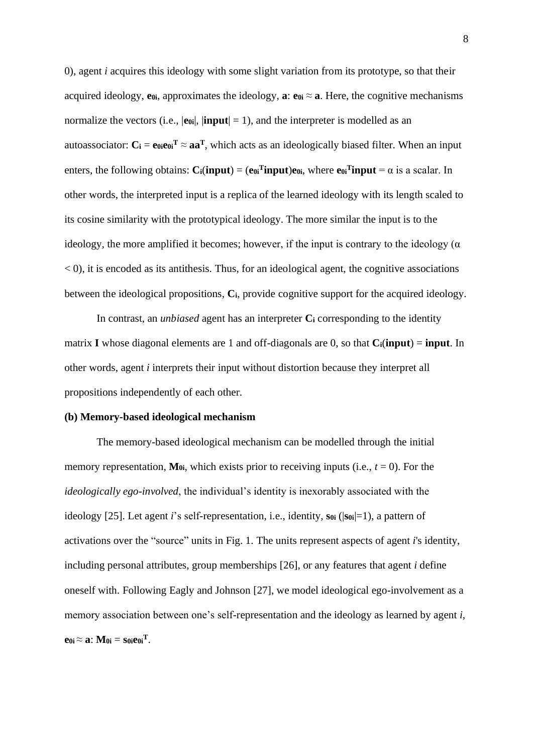0), agent *i* acquires this ideology with some slight variation from its prototype, so that their acquired ideology, **e** $\theta$ *i*, approximates the ideology, **a**: **e** $\theta$ **i**  $\approx$  **a**. Here, the cognitive mechanisms normalize the vectors (i.e.,  $|\mathbf{e}_{0i}|$ ,  $|\mathbf{input}| = 1$ ), and the interpreter is modelled as an autoassociator:  $C_i = e_{0i}e_{0i}^T \approx aa^T$ , which acts as an ideologically biased filter. When an input enters, the following obtains:  $C_i$ (input) = ( $e_{0i}$ <sup>T</sup>input) $e_{0i}$ , where  $e_{0i}$ <sup>T</sup>input =  $\alpha$  is a scalar. In other words, the interpreted input is a replica of the learned ideology with its length scaled to its cosine similarity with the prototypical ideology. The more similar the input is to the ideology, the more amplified it becomes; however, if the input is contrary to the ideology ( $\alpha$ )  $(0, 0)$ , it is encoded as its antithesis. Thus, for an ideological agent, the cognitive associations between the ideological propositions, **Ci**, provide cognitive support for the acquired ideology.

In contrast, an *unbiased* agent has an interpreter **C<sup>i</sup>** corresponding to the identity matrix **I** whose diagonal elements are 1 and off-diagonals are 0, so that **Ci**(**input**) = **input**. In other words, agent *i* interprets their input without distortion because they interpret all propositions independently of each other.

#### **(b) Memory-based ideological mechanism**

The memory-based ideological mechanism can be modelled through the initial memory representation,  $M_{0i}$ , which exists prior to receiving inputs (i.e.,  $t = 0$ ). For the *ideologically ego-involved*, the individual's identity is inexorably associated with the ideology [25]. Let agent *i*'s self-representation, i.e., identity, **s0i** (|**s0i**|=1), a pattern of activations over the "source" units in Fig. 1. The units represent aspects of agent *i*'s identity, including personal attributes, group memberships [26], or any features that agent *i* define oneself with. Following Eagly and Johnson [27], we model ideological ego-involvement as a memory association between one's self-representation and the ideology as learned by agent *i*, **e** $0i \approx a$ : **M** $0i = so$ **ie** $0i$ <sup>T</sup>.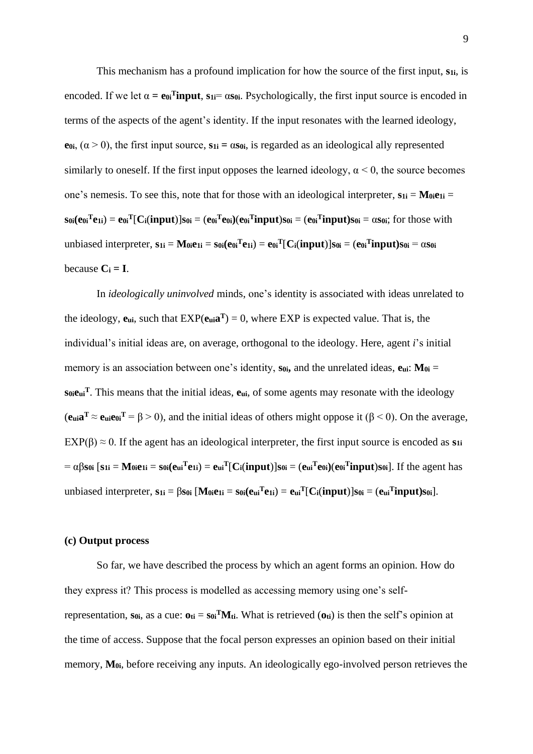This mechanism has a profound implication for how the source of the first input, **s1i**, is encoded. If we let  $\alpha = e_0$ **Tinput**,  $s_1 = \alpha s_0$ . Psychologically, the first input source is encoded in terms of the aspects of the agent's identity. If the input resonates with the learned ideology, **e** $\theta$ **i**,  $(\alpha > 0)$ , the first input source,  $s$ **1i** =  $\alpha$ **s** $\theta$ **i**, is regarded as an ideological ally represented similarly to oneself. If the first input opposes the learned ideology,  $\alpha$  < 0, the source becomes one's nemesis. To see this, note that for those with an ideological interpreter,  $s_{1i} = M_{0i}e_{1i}$  $\mathbf{s}_{0i}(e_{0i}^T e_{1i}) = e_{0i}^T [\mathbf{C}_i(\mathbf{input})] \mathbf{s}_{0i} = (e_{0i}^T e_{0i})(e_{0i}^T \mathbf{input}) \mathbf{s}_{0i} = (e_{0i}^T \mathbf{input}) \mathbf{s}_{0i} = \alpha \mathbf{s}_{0i}$ ; for those with unbiased interpreter,  $s_{1i} = M_{0i}e_{1i} = s_{0i}(e_{0i}^Te_{1i}) = e_{0i}^T[C_i(\text{input})]s_{0i} = (e_{0i}^T\text{input})s_{0i} = \alpha s_{0i}$ because  $C_i = I$ .

In *ideologically uninvolved* minds, one's identity is associated with ideas unrelated to the ideology,  $e_{ui}$ , such that  $EXP(e_{ui}a^T) = 0$ , where  $EXP$  is expected value. That is, the individual's initial ideas are, on average, orthogonal to the ideology. Here, agent *i*'s initial memory is an association between one's identity,  $s_{0i}$ , and the unrelated ideas,  $e_{ui}$ :  $M_{0i}$  = **s0ieui <sup>T</sup>**. This means that the initial ideas, **eui**, of some agents may resonate with the ideology  $(e_{\text{ui}}\mathbf{a}^{\text{T}} \approx e_{\text{ui}}e_{0i}^{\text{T}} = \beta > 0$ , and the initial ideas of others might oppose it ( $\beta < 0$ ). On the average,  $EXP(\beta) \approx 0$ . If the agent has an ideological interpreter, the first input source is encoded as **s**<sub>1i</sub>  $= \alpha \beta s_{0i}$  [s1i = M<sub>0i</sub>e<sub>1i</sub> = s<sub>0i</sub>(e<sub>ui</sub><sup>T</sup>e<sub>1i</sub>) = e<sub>ui</sub><sup>T</sup>[C<sub>i</sub>(input)]s<sub>0i</sub> = (e<sub>ui</sub><sup>T</sup>e<sub>0i</sub>)(e<sub>0i</sub><sup>T</sup>input)s<sub>0i</sub>]. If the agent has unbiased interpreter,  $s_{1i} = \beta s_{0i}$  [M<sub>0i</sub>e<sub>1i</sub> =  $s_{0i}(e_{ui}^T e_{1i}) = e_{ui}^T[C_i$ (input) $]s_{0i} = (e_{ui}^T input)s_{0i}$ ].

## **(c) Output process**

So far, we have described the process by which an agent forms an opinion. How do they express it? This process is modelled as accessing memory using one's selfrepresentation,  $s_{0i}$ , as a cue:  $o_{ti} = s_{0i}^{T}M_{ti}$ . What is retrieved  $(o_{ti})$  is then the self's opinion at the time of access. Suppose that the focal person expresses an opinion based on their initial memory, **M0i**, before receiving any inputs. An ideologically ego-involved person retrieves the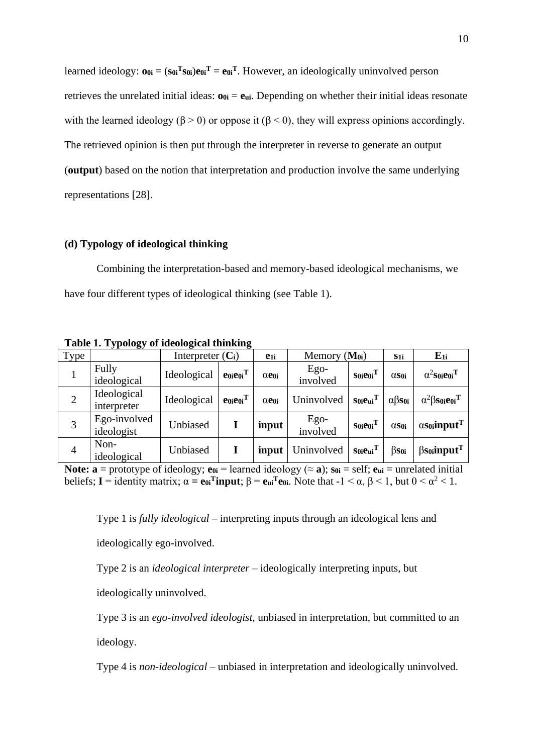learned ideology:  $\mathbf{o}_{0i} = (\mathbf{s}_{0i}^T \mathbf{s}_{0i}) \mathbf{e}_{0i}^T = \mathbf{e}_{0i}^T$ . However, an ideologically uninvolved person retrieves the unrelated initial ideas:  $\mathbf{o}_{0i} = \mathbf{e}_{ui}$ . Depending on whether their initial ideas resonate with the learned ideology ( $\beta$  > 0) or oppose it ( $\beta$  < 0), they will express opinions accordingly. The retrieved opinion is then put through the interpreter in reverse to generate an output (**output**) based on the notion that interpretation and production involve the same underlying representations [28].

## **(d) Typology of ideological thinking**

Combining the interpretation-based and memory-based ideological mechanisms, we have four different types of ideological thinking (see Table 1).

| $-$ ., $\mathbf{r}$<br>$\sim$ $\sim$ |                            |                     |                             |                       |                   |                           |                          |                                             |
|--------------------------------------|----------------------------|---------------------|-----------------------------|-----------------------|-------------------|---------------------------|--------------------------|---------------------------------------------|
| Type                                 |                            | Interpreter $(C_i)$ |                             | $e_{1i}$              | Memory $(M_{0i})$ |                           | S <sub>1</sub> i         | $E_{1i}$                                    |
| 1                                    | Fully<br>ideological       | Ideological         | $e_{0i}e_{0i}$ <sup>T</sup> | $\alpha$ e $_{0i}$    | Ego-<br>involved  | $S0i$ e $0i$ <sup>T</sup> | $\alpha$ S0i             | $\alpha^2$ S0ie0i <sup>T</sup>              |
| $\overline{2}$                       | Ideological<br>interpreter | Ideological         | $e0ie0iT$                   | $\alpha$ e $\alpha$ i | Uninvolved        | $S0i$ eui $T$             | $\alpha$ <sup>3s0i</sup> | $\alpha^2$ $\beta$ Soieoi <sup>T</sup>      |
| 3                                    | Ego-involved<br>ideologist | Unbiased            |                             | input                 | Ego-<br>involved  | $S0i$ e $0i$ <sup>1</sup> | $\alpha$ S0i             | $\alpha$ So <sub>i</sub> input <sup>T</sup> |
| $\overline{4}$                       | Non-<br>ideological        | Unbiased            |                             | input                 | Uninvolved        | $S0ieu^T$                 | $\beta s_{0i}$           | $\beta$ s <sub>0i</sub> input <sup>T</sup>  |

**Table 1. Typology of ideological thinking**

**Note:**  $\mathbf{a} = \text{prototype of ideology}; \mathbf{e}_{0i} = \text{learned ideology} (\approx \mathbf{a}); \mathbf{s}_{0i} = \text{self}; \mathbf{e}_{ui} = \text{unrelated initial}}$ beliefs;  $I =$  identity matrix;  $\alpha = e_0$  **Tinput**;  $\beta = e_0$  **T** $e_0$ *i*. Note that  $-1 < \alpha$ ,  $\beta < 1$ , but  $0 < \alpha^2 < 1$ .

Type 1 is *fully ideological* – interpreting inputs through an ideological lens and

ideologically ego-involved.

Type 2 is an *ideological interpreter* – ideologically interpreting inputs, but

ideologically uninvolved.

Type 3 is an *ego-involved ideologist,* unbiased in interpretation, but committed to an ideology.

Type 4 is *non-ideological* – unbiased in interpretation and ideologically uninvolved.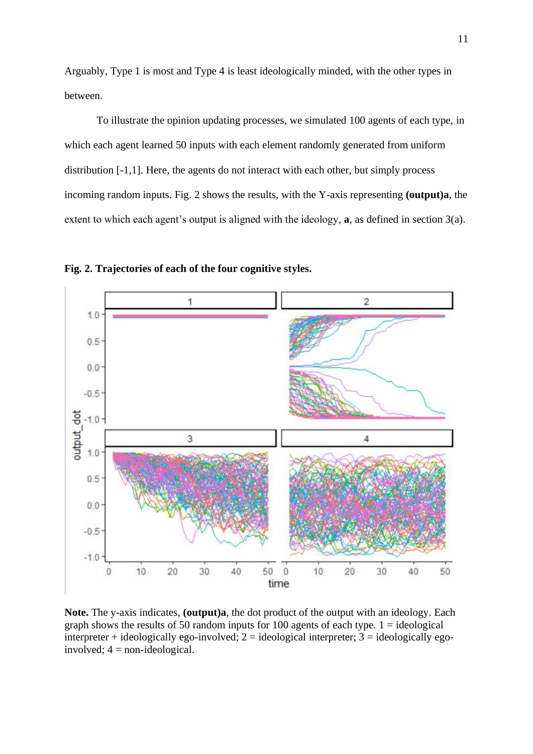Arguably, Type 1 is most and Type 4 is least ideologically minded, with the other types in between.

To illustrate the opinion updating processes, we simulated 100 agents of each type, in which each agent learned 50 inputs with each element randomly generated from uniform distribution [-1,1]. Here, the agents do not interact with each other, but simply process incoming random inputs. Fig. 2 shows the results, with the Y-axis representing **(output)a**, the extent to which each agent's output is aligned with the ideology, **a**, as defined in section 3(a).



**Fig. 2. Trajectories of each of the four cognitive styles.**

**Note.** The y-axis indicates, **(output)a**, the dot product of the output with an ideology. Each graph shows the results of 50 random inputs for 100 agents of each type.  $1 =$  ideological interpreter + ideologically ego-involved;  $2 =$  ideological interpreter;  $3 =$  ideologically egoinvolved;  $4 = \text{non-ideological}$ .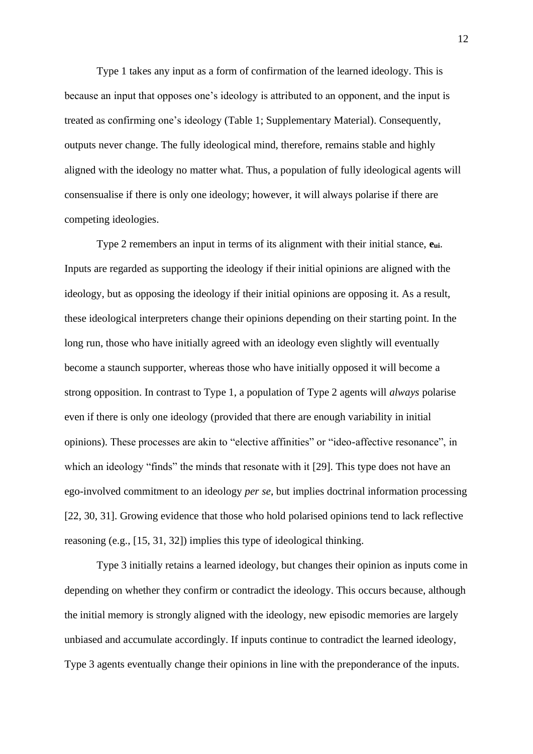Type 1 takes any input as a form of confirmation of the learned ideology. This is because an input that opposes one's ideology is attributed to an opponent, and the input is treated as confirming one's ideology (Table 1; Supplementary Material). Consequently, outputs never change. The fully ideological mind, therefore, remains stable and highly aligned with the ideology no matter what. Thus, a population of fully ideological agents will consensualise if there is only one ideology; however, it will always polarise if there are competing ideologies.

Type 2 remembers an input in terms of its alignment with their initial stance, **eui**. Inputs are regarded as supporting the ideology if their initial opinions are aligned with the ideology, but as opposing the ideology if their initial opinions are opposing it. As a result, these ideological interpreters change their opinions depending on their starting point. In the long run, those who have initially agreed with an ideology even slightly will eventually become a staunch supporter, whereas those who have initially opposed it will become a strong opposition. In contrast to Type 1, a population of Type 2 agents will *always* polarise even if there is only one ideology (provided that there are enough variability in initial opinions). These processes are akin to "elective affinities" or "ideo-affective resonance", in which an ideology "finds" the minds that resonate with it [29]. This type does not have an ego-involved commitment to an ideology *per se*, but implies doctrinal information processing [22, 30, 31]. Growing evidence that those who hold polarised opinions tend to lack reflective reasoning (e.g., [15, 31, 32]) implies this type of ideological thinking.

Type 3 initially retains a learned ideology, but changes their opinion as inputs come in depending on whether they confirm or contradict the ideology. This occurs because, although the initial memory is strongly aligned with the ideology, new episodic memories are largely unbiased and accumulate accordingly. If inputs continue to contradict the learned ideology, Type 3 agents eventually change their opinions in line with the preponderance of the inputs.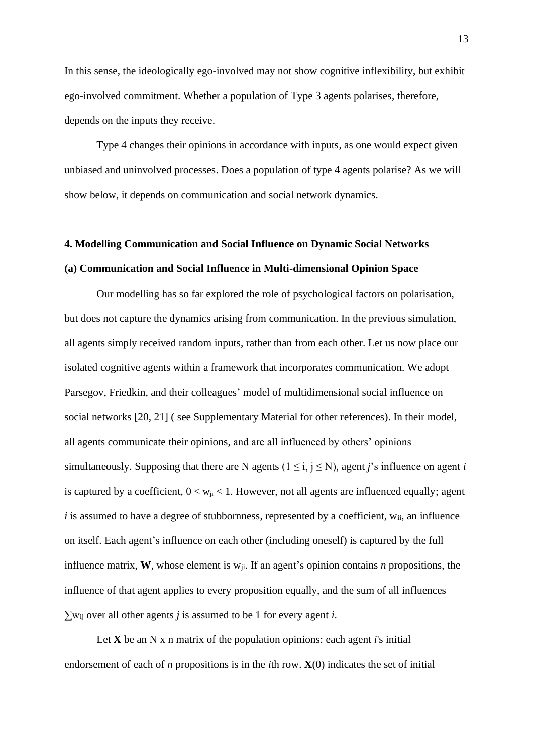In this sense, the ideologically ego-involved may not show cognitive inflexibility, but exhibit ego-involved commitment. Whether a population of Type 3 agents polarises, therefore, depends on the inputs they receive.

Type 4 changes their opinions in accordance with inputs, as one would expect given unbiased and uninvolved processes. Does a population of type 4 agents polarise? As we will show below, it depends on communication and social network dynamics.

# **4. Modelling Communication and Social Influence on Dynamic Social Networks (a) Communication and Social Influence in Multi-dimensional Opinion Space**

Our modelling has so far explored the role of psychological factors on polarisation, but does not capture the dynamics arising from communication. In the previous simulation, all agents simply received random inputs, rather than from each other. Let us now place our isolated cognitive agents within a framework that incorporates communication. We adopt Parsegov, Friedkin, and their colleagues' model of multidimensional social influence on social networks [20, 21] ( see Supplementary Material for other references). In their model, all agents communicate their opinions, and are all influenced by others' opinions simultaneously. Supposing that there are N agents ( $1 \le i, j \le N$ ), agent *j*'s influence on agent *i* is captured by a coefficient,  $0 < w_{ii} < 1$ . However, not all agents are influenced equally; agent  $i$  is assumed to have a degree of stubbornness, represented by a coefficient,  $w_{ii}$ , an influence on itself. Each agent's influence on each other (including oneself) is captured by the full influence matrix, **W**, whose element is wji. If an agent's opinion contains *n* propositions, the influence of that agent applies to every proposition equally, and the sum of all influences ∑wij over all other agents *j* is assumed to be 1 for every agent *i*.

Let **X** be an N x n matrix of the population opinions: each agent *i*'s initial endorsement of each of *n* propositions is in the *i*th row. **X**(0) indicates the set of initial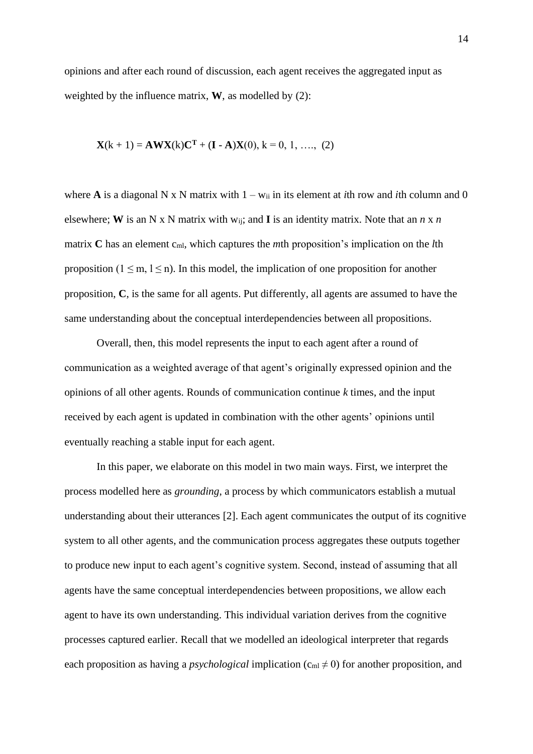opinions and after each round of discussion, each agent receives the aggregated input as weighted by the influence matrix, **W**, as modelled by (2):

$$
\mathbf{X}(k+1) = \mathbf{A}\mathbf{W}\mathbf{X}(k)\mathbf{C}^{\mathrm{T}} + (\mathbf{I} - \mathbf{A})\mathbf{X}(0), k = 0, 1, \ldots, (2)
$$

where **A** is a diagonal N x N matrix with  $1 - w_{ii}$  in its element at *i*th row and *i*th column and 0 elsewhere; **W** is an N x N matrix with wij; and **I** is an identity matrix. Note that an *n* x *n* matrix **C** has an element c<sub>ml</sub>, which captures the *m*th proposition's implication on the *l*th proposition ( $1 \le m$ ,  $1 \le n$ ). In this model, the implication of one proposition for another proposition, **C**, is the same for all agents. Put differently, all agents are assumed to have the same understanding about the conceptual interdependencies between all propositions.

Overall, then, this model represents the input to each agent after a round of communication as a weighted average of that agent's originally expressed opinion and the opinions of all other agents. Rounds of communication continue *k* times, and the input received by each agent is updated in combination with the other agents' opinions until eventually reaching a stable input for each agent.

In this paper, we elaborate on this model in two main ways. First, we interpret the process modelled here as *grounding*, a process by which communicators establish a mutual understanding about their utterances [2]. Each agent communicates the output of its cognitive system to all other agents, and the communication process aggregates these outputs together to produce new input to each agent's cognitive system. Second, instead of assuming that all agents have the same conceptual interdependencies between propositions, we allow each agent to have its own understanding. This individual variation derives from the cognitive processes captured earlier. Recall that we modelled an ideological interpreter that regards each proposition as having a *psychological* implication ( $c<sub>ml</sub> \neq 0$ ) for another proposition, and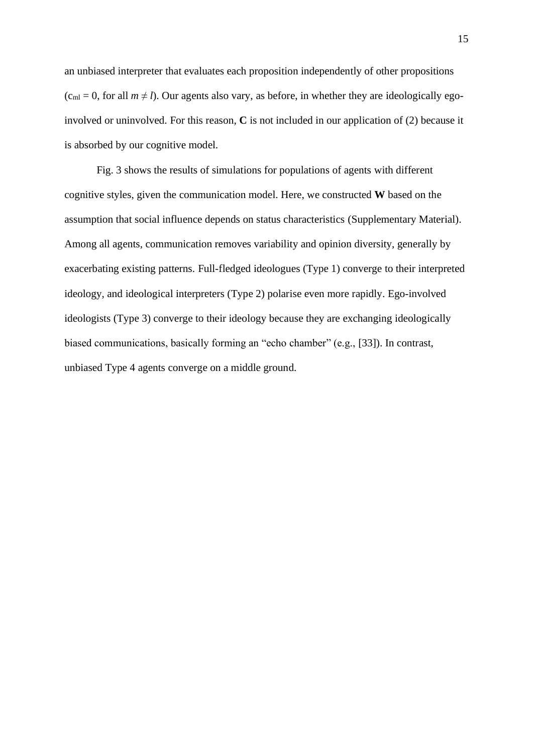an unbiased interpreter that evaluates each proposition independently of other propositions  $(c<sub>ml</sub> = 0, for all  $m \neq l$ ). Our agents also vary, as before, in whether they are ideologically ego$ involved or uninvolved. For this reason, **C** is not included in our application of (2) because it is absorbed by our cognitive model.

Fig. 3 shows the results of simulations for populations of agents with different cognitive styles, given the communication model. Here, we constructed **W** based on the assumption that social influence depends on status characteristics (Supplementary Material). Among all agents, communication removes variability and opinion diversity, generally by exacerbating existing patterns. Full-fledged ideologues (Type 1) converge to their interpreted ideology, and ideological interpreters (Type 2) polarise even more rapidly. Ego-involved ideologists (Type 3) converge to their ideology because they are exchanging ideologically biased communications, basically forming an "echo chamber" (e.g., [33]). In contrast, unbiased Type 4 agents converge on a middle ground.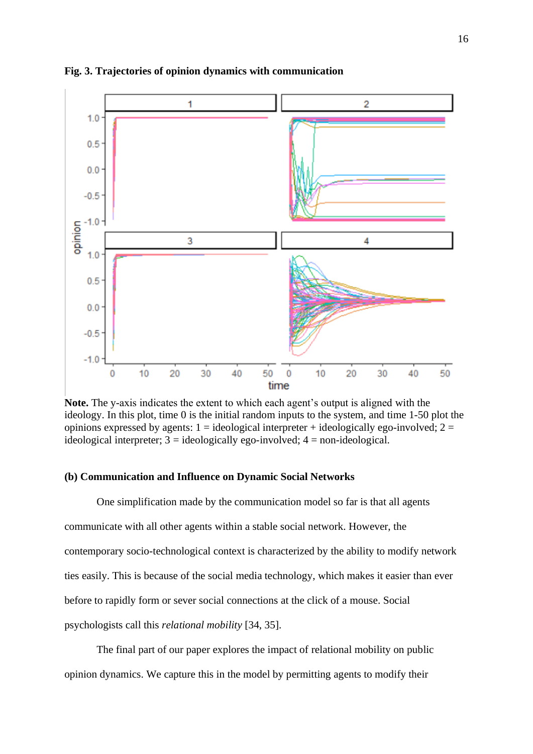

**Fig. 3. Trajectories of opinion dynamics with communication**

**Note.** The y-axis indicates the extent to which each agent's output is aligned with the ideology. In this plot, time 0 is the initial random inputs to the system, and time 1-50 plot the opinions expressed by agents:  $1 =$  ideological interpreter + ideologically ego-involved;  $2 =$ ideological interpreter;  $3 =$  ideologically ego-involved;  $4 =$  non-ideological.

# **(b) Communication and Influence on Dynamic Social Networks**

One simplification made by the communication model so far is that all agents communicate with all other agents within a stable social network. However, the contemporary socio-technological context is characterized by the ability to modify network ties easily. This is because of the social media technology, which makes it easier than ever before to rapidly form or sever social connections at the click of a mouse. Social psychologists call this *relational mobility* [34, 35].

The final part of our paper explores the impact of relational mobility on public opinion dynamics. We capture this in the model by permitting agents to modify their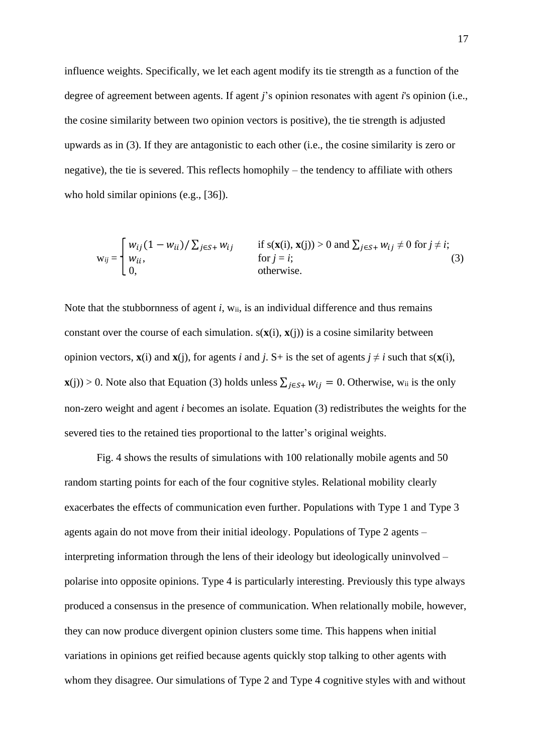influence weights. Specifically, we let each agent modify its tie strength as a function of the degree of agreement between agents. If agent *j*'s opinion resonates with agent *i*'s opinion (i.e., the cosine similarity between two opinion vectors is positive), the tie strength is adjusted upwards as in (3). If they are antagonistic to each other (i.e., the cosine similarity is zero or negative), the tie is severed. This reflects homophily – the tendency to affiliate with others who hold similar opinions (e.g., [36]).

$$
w_{ij} = \begin{cases} w_{ij} (1 - w_{ii}) / \sum_{j \in S^+} w_{ij} & \text{if } s(\mathbf{x}(i), \mathbf{x}(j)) > 0 \text{ and } \sum_{j \in S^+} w_{ij} \neq 0 \text{ for } j \neq i; \\ v_{ii}, & \text{for } j = i; \\ 0, & \text{otherwise.} \end{cases}
$$
(3)

Note that the stubbornness of agent *i*, w<sub>ii</sub>, is an individual difference and thus remains constant over the course of each simulation.  $s(x(i), x(i))$  is a cosine similarity between opinion vectors,  $\mathbf{x}(i)$  and  $\mathbf{x}(i)$ , for agents *i* and *j*. S+ is the set of agents  $j \neq i$  such that  $s(\mathbf{x}(i))$ , **x**(j)) > 0. Note also that Equation (3) holds unless  $\sum_{j \in S^+} w_{ij} = 0$ . Otherwise, w<sub>ii</sub> is the only non-zero weight and agent *i* becomes an isolate. Equation (3) redistributes the weights for the severed ties to the retained ties proportional to the latter's original weights.

Fig. 4 shows the results of simulations with 100 relationally mobile agents and 50 random starting points for each of the four cognitive styles. Relational mobility clearly exacerbates the effects of communication even further. Populations with Type 1 and Type 3 agents again do not move from their initial ideology. Populations of Type 2 agents – interpreting information through the lens of their ideology but ideologically uninvolved – polarise into opposite opinions. Type 4 is particularly interesting. Previously this type always produced a consensus in the presence of communication. When relationally mobile, however, they can now produce divergent opinion clusters some time. This happens when initial variations in opinions get reified because agents quickly stop talking to other agents with whom they disagree. Our simulations of Type 2 and Type 4 cognitive styles with and without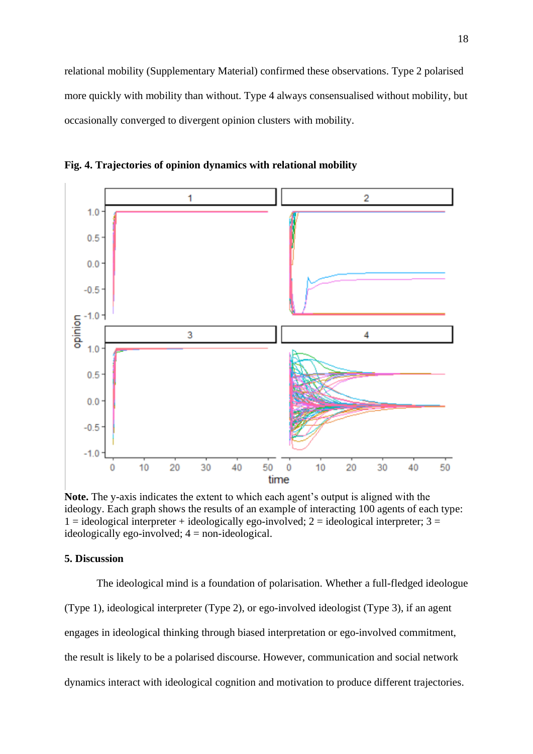relational mobility (Supplementary Material) confirmed these observations. Type 2 polarised more quickly with mobility than without. Type 4 always consensualised without mobility, but occasionally converged to divergent opinion clusters with mobility.



**Fig. 4. Trajectories of opinion dynamics with relational mobility**

**Note.** The y-axis indicates the extent to which each agent's output is aligned with the ideology. Each graph shows the results of an example of interacting 100 agents of each type:  $1 =$  ideological interpreter + ideologically ego-involved;  $2 =$  ideological interpreter;  $3 =$ ideologically ego-involved;  $4 =$  non-ideological.

# **5. Discussion**

The ideological mind is a foundation of polarisation. Whether a full-fledged ideologue (Type 1), ideological interpreter (Type 2), or ego-involved ideologist (Type 3), if an agent engages in ideological thinking through biased interpretation or ego-involved commitment, the result is likely to be a polarised discourse. However, communication and social network dynamics interact with ideological cognition and motivation to produce different trajectories.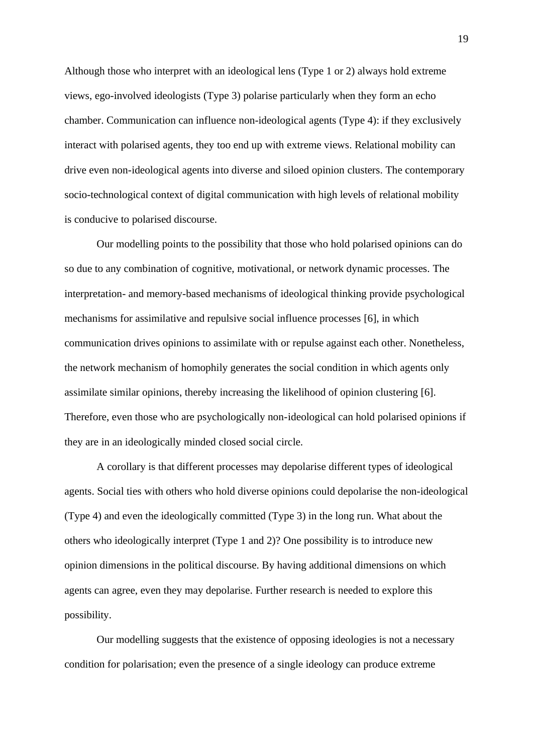Although those who interpret with an ideological lens (Type 1 or 2) always hold extreme views, ego-involved ideologists (Type 3) polarise particularly when they form an echo chamber. Communication can influence non-ideological agents (Type 4): if they exclusively interact with polarised agents, they too end up with extreme views. Relational mobility can drive even non-ideological agents into diverse and siloed opinion clusters. The contemporary socio-technological context of digital communication with high levels of relational mobility is conducive to polarised discourse.

Our modelling points to the possibility that those who hold polarised opinions can do so due to any combination of cognitive, motivational, or network dynamic processes. The interpretation- and memory-based mechanisms of ideological thinking provide psychological mechanisms for assimilative and repulsive social influence processes [6], in which communication drives opinions to assimilate with or repulse against each other. Nonetheless, the network mechanism of homophily generates the social condition in which agents only assimilate similar opinions, thereby increasing the likelihood of opinion clustering [6]. Therefore, even those who are psychologically non-ideological can hold polarised opinions if they are in an ideologically minded closed social circle.

A corollary is that different processes may depolarise different types of ideological agents. Social ties with others who hold diverse opinions could depolarise the non-ideological (Type 4) and even the ideologically committed (Type 3) in the long run. What about the others who ideologically interpret (Type 1 and 2)? One possibility is to introduce new opinion dimensions in the political discourse. By having additional dimensions on which agents can agree, even they may depolarise. Further research is needed to explore this possibility.

Our modelling suggests that the existence of opposing ideologies is not a necessary condition for polarisation; even the presence of a single ideology can produce extreme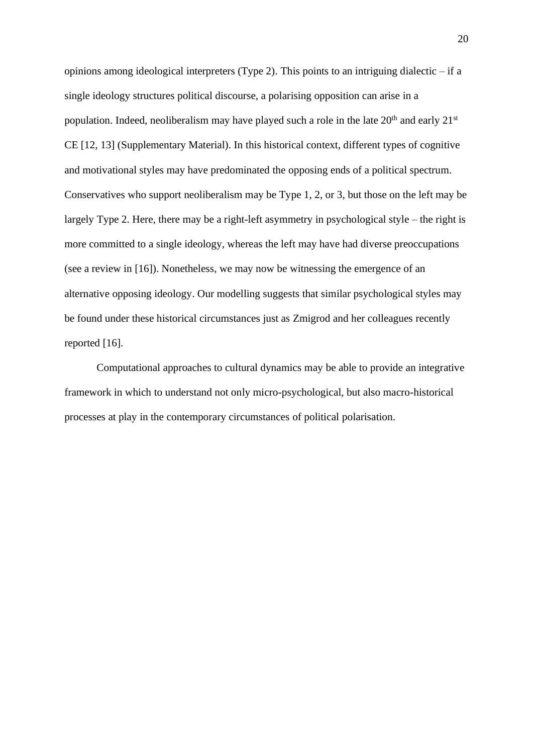opinions among ideological interpreters (Type 2). This points to an intriguing dialectic – if a single ideology structures political discourse, a polarising opposition can arise in a population. Indeed, neoliberalism may have played such a role in the late  $20<sup>th</sup>$  and early  $21<sup>st</sup>$ CE [12, 13] (Supplementary Material). In this historical context, different types of cognitive and motivational styles may have predominated the opposing ends of a political spectrum. Conservatives who support neoliberalism may be Type 1, 2, or 3, but those on the left may be largely Type 2. Here, there may be a right-left asymmetry in psychological style – the right is more committed to a single ideology, whereas the left may have had diverse preoccupations (see a review in [16]). Nonetheless, we may now be witnessing the emergence of an alternative opposing ideology. Our modelling suggests that similar psychological styles may be found under these historical circumstances just as Zmigrod and her colleagues recently reported [16].

Computational approaches to cultural dynamics may be able to provide an integrative framework in which to understand not only micro-psychological, but also macro-historical processes at play in the contemporary circumstances of political polarisation.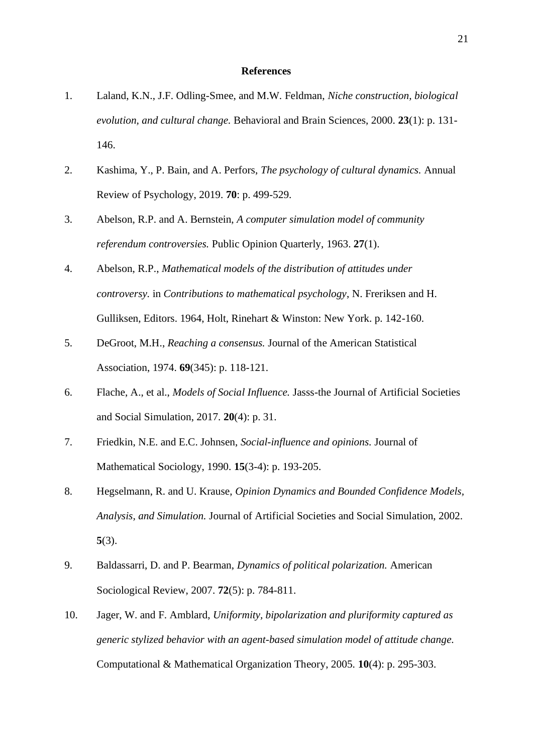#### **References**

- 1. Laland, K.N., J.F. Odling-Smee, and M.W. Feldman, *Niche construction, biological evolution, and cultural change.* Behavioral and Brain Sciences, 2000. **23**(1): p. 131- 146.
- 2. Kashima, Y., P. Bain, and A. Perfors, *The psychology of cultural dynamics.* Annual Review of Psychology, 2019. **70**: p. 499-529.
- 3. Abelson, R.P. and A. Bernstein, *A computer simulation model of community referendum controversies.* Public Opinion Quarterly, 1963. **27**(1).
- 4. Abelson, R.P., *Mathematical models of the distribution of attitudes under controversy.* in *Contributions to mathematical psychology*, N. Freriksen and H. Gulliksen, Editors. 1964, Holt, Rinehart & Winston: New York. p. 142-160.
- 5. DeGroot, M.H., *Reaching a consensus.* Journal of the American Statistical Association, 1974. **69**(345): p. 118-121.
- 6. Flache, A., et al., *Models of Social Influence.* Jasss-the Journal of Artificial Societies and Social Simulation, 2017. **20**(4): p. 31.
- 7. Friedkin, N.E. and E.C. Johnsen, *Social-influence and opinions.* Journal of Mathematical Sociology, 1990. **15**(3-4): p. 193-205.
- 8. Hegselmann, R. and U. Krause, *Opinion Dynamics and Bounded Confidence Models, Analysis, and Simulation.* Journal of Artificial Societies and Social Simulation, 2002. **5**(3).
- 9. Baldassarri, D. and P. Bearman, *Dynamics of political polarization.* American Sociological Review, 2007. **72**(5): p. 784-811.
- 10. Jager, W. and F. Amblard, *Uniformity, bipolarization and pluriformity captured as generic stylized behavior with an agent-based simulation model of attitude change.* Computational & Mathematical Organization Theory, 2005. **10**(4): p. 295-303.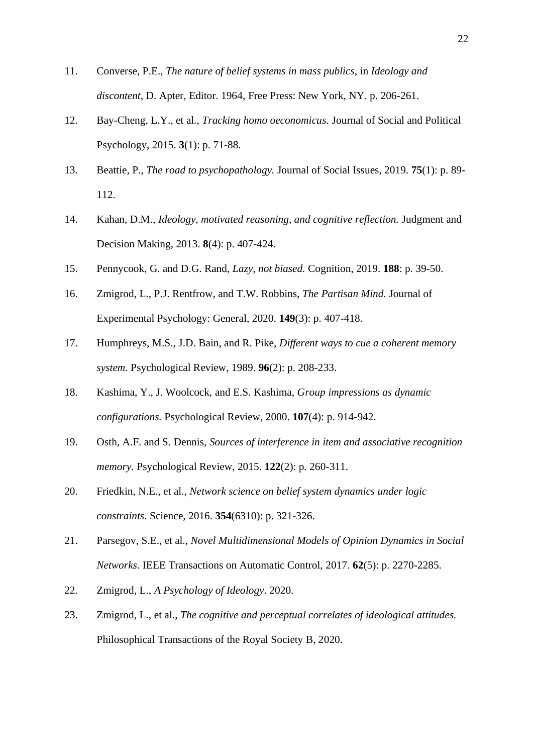- 11. Converse, P.E., *The nature of belief systems in mass publics*, in *Ideology and discontent*, D. Apter, Editor. 1964, Free Press: New York, NY. p. 206-261.
- 12. Bay-Cheng, L.Y., et al., *Tracking homo oeconomicus.* Journal of Social and Political Psychology, 2015. **3**(1): p. 71-88.
- 13. Beattie, P., *The road to psychopathology.* Journal of Social Issues, 2019. **75**(1): p. 89- 112.
- 14. Kahan, D.M., *Ideology, motivated reasoning, and cognitive reflection.* Judgment and Decision Making, 2013. **8**(4): p. 407-424.
- 15. Pennycook, G. and D.G. Rand, *Lazy, not biased.* Cognition, 2019. **188**: p. 39-50.
- 16. Zmigrod, L., P.J. Rentfrow, and T.W. Robbins, *The Partisan Mind.* Journal of Experimental Psychology: General, 2020. **149**(3): p. 407-418.
- 17. Humphreys, M.S., J.D. Bain, and R. Pike, *Different ways to cue a coherent memory system.* Psychological Review, 1989. **96**(2): p. 208-233.
- 18. Kashima, Y., J. Woolcock, and E.S. Kashima, *Group impressions as dynamic configurations.* Psychological Review, 2000. **107**(4): p. 914-942.
- 19. Osth, A.F. and S. Dennis, *Sources of interference in item and associative recognition memory.* Psychological Review, 2015. **122**(2): p. 260-311.
- 20. Friedkin, N.E., et al., *Network science on belief system dynamics under logic constraints.* Science, 2016. **354**(6310): p. 321-326.
- 21. Parsegov, S.E., et al., *Novel Multidimensional Models of Opinion Dynamics in Social Networks.* IEEE Transactions on Automatic Control, 2017. **62**(5): p. 2270-2285.
- 22. Zmigrod, L., *A Psychology of Ideology*. 2020.
- 23. Zmigrod, L., et al., *The cognitive and perceptual correlates of ideological attitudes.* Philosophical Transactions of the Royal Society B, 2020.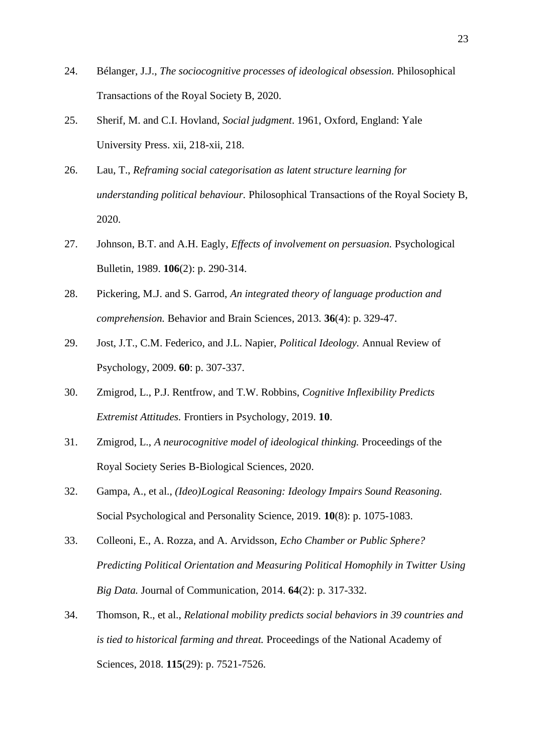- 24. Bélanger, J.J., *The sociocognitive processes of ideological obsession.* Philosophical Transactions of the Royal Society B, 2020.
- 25. Sherif, M. and C.I. Hovland, *Social judgment*. 1961, Oxford, England: Yale University Press. xii, 218-xii, 218.
- 26. Lau, T., *Reframing social categorisation as latent structure learning for understanding political behaviour.* Philosophical Transactions of the Royal Society B, 2020.
- 27. Johnson, B.T. and A.H. Eagly, *Effects of involvement on persuasion.* Psychological Bulletin, 1989. **106**(2): p. 290-314.
- 28. Pickering, M.J. and S. Garrod, *An integrated theory of language production and comprehension.* Behavior and Brain Sciences, 2013. **36**(4): p. 329-47.
- 29. Jost, J.T., C.M. Federico, and J.L. Napier, *Political Ideology.* Annual Review of Psychology, 2009. **60**: p. 307-337.
- 30. Zmigrod, L., P.J. Rentfrow, and T.W. Robbins, *Cognitive Inflexibility Predicts Extremist Attitudes.* Frontiers in Psychology, 2019. **10**.
- 31. Zmigrod, L., *A neurocognitive model of ideological thinking.* Proceedings of the Royal Society Series B-Biological Sciences, 2020.
- 32. Gampa, A., et al., *(Ideo)Logical Reasoning: Ideology Impairs Sound Reasoning.* Social Psychological and Personality Science, 2019. **10**(8): p. 1075-1083.
- 33. Colleoni, E., A. Rozza, and A. Arvidsson, *Echo Chamber or Public Sphere? Predicting Political Orientation and Measuring Political Homophily in Twitter Using Big Data.* Journal of Communication, 2014. **64**(2): p. 317-332.
- 34. Thomson, R., et al., *Relational mobility predicts social behaviors in 39 countries and is tied to historical farming and threat.* Proceedings of the National Academy of Sciences, 2018. **115**(29): p. 7521-7526.